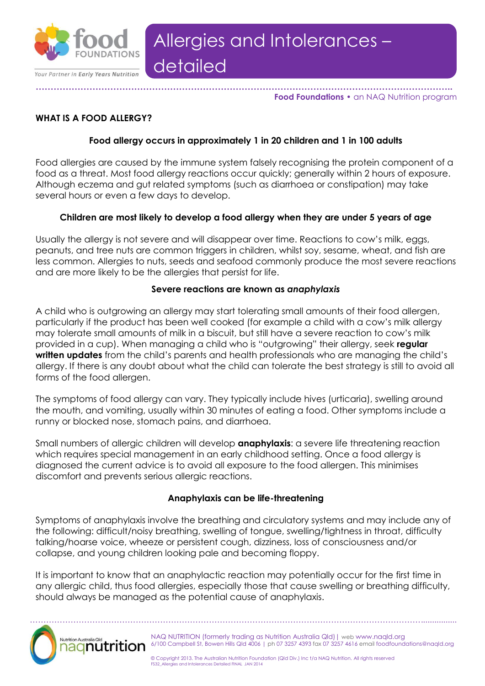

**………………………………………………………………………………………………………………………….. Food Foundations •** an NAQ Nutrition program

# **WHAT IS A FOOD ALLERGY?**

## **Food allergy occurs in approximately 1 in 20 children and 1 in 100 adults**

Food allergies are caused by the immune system falsely recognising the protein component of a food as a threat. Most food allergy reactions occur quickly; generally within 2 hours of exposure. Although eczema and gut related symptoms (such as diarrhoea or constipation) may take several hours or even a few days to develop.

### **Children are most likely to develop a food allergy when they are under 5 years of age**

Usually the allergy is not severe and will disappear over time. Reactions to cow's milk, eggs, peanuts, and tree nuts are common triggers in children, whilst soy, sesame, wheat, and fish are less common. Allergies to nuts, seeds and seafood commonly produce the most severe reactions and are more likely to be the allergies that persist for life.

#### **Severe reactions are known as** *anaphylaxis*

A child who is outgrowing an allergy may start tolerating small amounts of their food allergen, particularly if the product has been well cooked (for example a child with a cow's milk allergy may tolerate small amounts of milk in a biscuit, but still have a severe reaction to cow's milk provided in a cup). When managing a child who is "outgrowing" their allergy, seek **regular written updates** from the child's parents and health professionals who are managing the child's allergy. If there is any doubt about what the child can tolerate the best strategy is still to avoid all forms of the food allergen.

The symptoms of food allergy can vary. They typically include hives (urticaria), swelling around the mouth, and vomiting, usually within 30 minutes of eating a food. Other symptoms include a runny or blocked nose, stomach pains, and diarrhoea.

Small numbers of allergic children will develop **anaphylaxis**: a severe life threatening reaction which requires special management in an early childhood setting. Once a food allergy is diagnosed the current advice is to avoid all exposure to the food allergen. This minimises discomfort and prevents serious allergic reactions.

#### **Anaphylaxis can be life-threatening**

Symptoms of anaphylaxis involve the breathing and circulatory systems and may include any of the following: difficult/noisy breathing, swelling of tongue, swelling/tightness in throat, difficulty talking/hoarse voice, wheeze or persistent cough, dizziness, loss of consciousness and/or collapse, and young children looking pale and becoming floppy.

It is important to know that an anaphylactic reaction may potentially occur for the first time in any allergic child, thus food allergies, especially those that cause swelling or breathing difficulty, should always be managed as the potential cause of anaphylaxis.

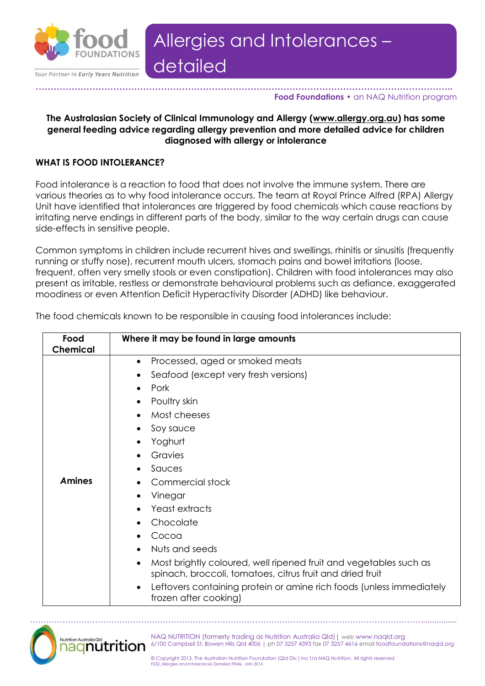

#### **………………………………………………………………………………………………………………………….. Food Foundations •** an NAQ Nutrition program

#### **The Australasian Society of Clinical Immunology and Allergy [\(www.allergy.org.au\)](http://www.allergy.org.au/) has some general feeding advice regarding allergy prevention and more detailed advice for children diagnosed with allergy or intolerance**

#### **WHAT IS FOOD INTOLERANCE?**

Food intolerance is a reaction to food that does not involve the immune system. There are various theories as to why food intolerance occurs. The team at Royal Prince Alfred (RPA) Allergy Unit have identified that intolerances are triggered by food chemicals which cause reactions by irritating nerve endings in different parts of the body, similar to the way certain drugs can cause side-effects in sensitive people.

Common symptoms in children include recurrent hives and swellings, rhinitis or sinusitis (frequently running or stuffy nose), recurrent mouth ulcers, stomach pains and bowel irritations (loose, frequent, often very smelly stools or even constipation). Children with food intolerances may also present as irritable, restless or demonstrate behavioural problems such as defiance, exaggerated moodiness or even Attention Deficit Hyperactivity Disorder (ADHD) like behaviour.

| Food<br><b>Chemical</b> | Where it may be found in large amounts                                                                                                                                                                                                                                                                                                                                                                                                                                                                                                                           |
|-------------------------|------------------------------------------------------------------------------------------------------------------------------------------------------------------------------------------------------------------------------------------------------------------------------------------------------------------------------------------------------------------------------------------------------------------------------------------------------------------------------------------------------------------------------------------------------------------|
| <b>Amines</b>           | Processed, aged or smoked meats<br>$\bullet$<br>Seafood (except very fresh versions)<br>٠<br>Pork<br>٠<br>Poultry skin<br>$\bullet$<br>Most cheeses<br>Soy sauce<br>٠<br>Yoghurt<br>٠<br>Gravies<br>Sauces<br>Commercial stock<br>Vinegar<br>Yeast extracts<br>Chocolate<br>Cocoa<br>Nuts and seeds<br>Most brightly coloured, well ripened fruit and vegetables such as<br>$\bullet$<br>spinach, broccoli, tomatoes, citrus fruit and dried fruit<br>Leftovers containing protein or amine rich foods (unless immediately<br>$\bullet$<br>frozen after cooking) |

The food chemicals known to be responsible in causing food intolerances include:

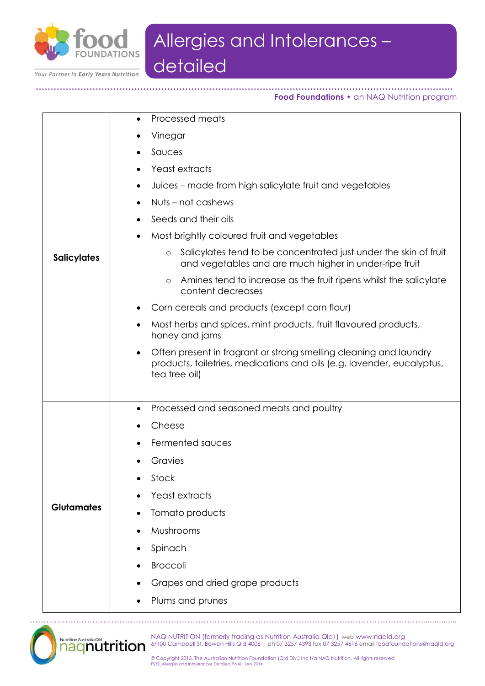

**…………………………………………………………………………………………………………………………..**

Your Partner in Early Years Nutrition

**Food Foundations •** an NAQ Nutrition program

| <b>Salicylates</b> | Processed meats<br>$\bullet$                                                                                                                                              |
|--------------------|---------------------------------------------------------------------------------------------------------------------------------------------------------------------------|
|                    | Vinegar                                                                                                                                                                   |
|                    | Sauces<br>٠                                                                                                                                                               |
|                    | Yeast extracts<br>٠                                                                                                                                                       |
|                    | Juices – made from high salicylate fruit and vegetables<br>٠                                                                                                              |
|                    | Nuts – not cashews<br>$\bullet$                                                                                                                                           |
|                    | Seeds and their oils<br>$\bullet$                                                                                                                                         |
|                    | Most brightly coloured fruit and vegetables<br>٠                                                                                                                          |
|                    | Salicylates tend to be concentrated just under the skin of fruit<br>$\circ$<br>and vegetables and are much higher in under-ripe fruit                                     |
|                    | Amines tend to increase as the fruit ripens whilst the salicylate<br>$\circ$<br>content decreases                                                                         |
|                    | Corn cereals and products (except corn flour)<br>٠                                                                                                                        |
|                    | Most herbs and spices, mint products, fruit flavoured products,<br>$\bullet$<br>honey and jams                                                                            |
|                    | Often present in fragrant or strong smelling cleaning and laundry<br>$\bullet$<br>products, toiletries, medications and oils (e.g. lavender, eucalyptus,<br>tea tree oil) |
|                    | Processed and seasoned meats and poultry<br>٠                                                                                                                             |
| <b>Glutamates</b>  | Cheese                                                                                                                                                                    |
|                    | Fermented sauces                                                                                                                                                          |
|                    | Gravies                                                                                                                                                                   |
|                    | Stock                                                                                                                                                                     |
|                    | Yeast extracts                                                                                                                                                            |
|                    | Tomato products<br>$\bullet$                                                                                                                                              |
|                    | Mushrooms<br>$\bullet$                                                                                                                                                    |
|                    | Spinach                                                                                                                                                                   |
|                    | <b>Broccoli</b>                                                                                                                                                           |
|                    | Grapes and dried grape products                                                                                                                                           |
|                    | Plums and prunes                                                                                                                                                          |